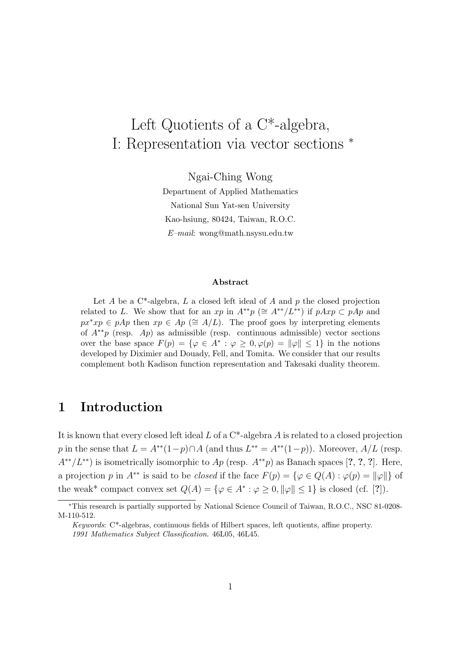# Left Quotients of a C\*-algebra, I: Representation via vector sections <sup>∗</sup>

Ngai-Ching Wong

Department of Applied Mathematics National Sun Yat-sen University Kao-hsiung, 80424, Taiwan, R.O.C.  $E-mail:$  wong@math.nsysu.edu.tw

#### Abstract

Let A be a  $C^*$ -algebra, L a closed left ideal of A and p the closed projection related to L. We show that for an xp in  $A^{**}p \ (\cong A^{**}/L^{**})$  if  $pAxp \subset pAp$  and  $px^*xp \in pAp$  then  $xp \in Ap \ (\cong A/L)$ . The proof goes by interpreting elements of  $A^{**}p$  (resp. Ap) as admissible (resp. continuous admissible) vector sections over the base space  $F(p) = \{ \varphi \in A^* : \varphi \geq 0, \varphi(p) = ||\varphi|| \leq 1 \}$  in the notions developed by Diximier and Douady, Fell, and Tomita. We consider that our results complement both Kadison function representation and Takesaki duality theorem.

## 1 Introduction

It is known that every closed left ideal  $L$  of a  $C^*$ -algebra  $A$  is related to a closed projection p in the sense that  $L = A^{**}(1-p) \cap A$  (and thus  $L^{**} = A^{**}(1-p)$ ). Moreover,  $A/L$  (resp.  $A^{**}/L^{**}$ ) is isometrically isomorphic to  $Ap$  (resp.  $A^{**}p$ ) as Banach spaces [?, ?, ?]. Here, a projection p in  $A^{**}$  is said to be *closed* if the face  $F(p) = \{ \varphi \in Q(A) : \varphi(p) = ||\varphi|| \}$  of the weak\* compact convex set  $Q(A) = \{ \varphi \in A^* : \varphi \geq 0, ||\varphi|| \leq 1 \}$  is closed (cf. [?]).

<sup>∗</sup>This research is partially supported by National Science Council of Taiwan, R.O.C., NSC 81-0208- M-110-512.

Keywords: C\*-algebras, continuous fields of Hilbert spaces, left quotients, affine property. 1991 Mathematics Subject Classification. 46L05, 46L45.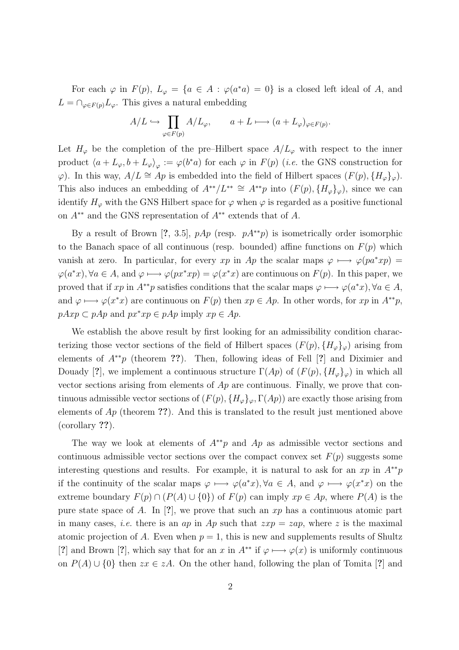For each  $\varphi$  in  $F(p)$ ,  $L_{\varphi} = \{a \in A : \varphi(a^*a) = 0\}$  is a closed left ideal of A, and  $L = \bigcap_{\varphi \in F(p)} L_{\varphi}$ . This gives a natural embedding

$$
A/L \hookrightarrow \prod_{\varphi \in F(p)} A/L_{\varphi}, \qquad a + L \longmapsto (a + L_{\varphi})_{\varphi \in F(p)}.
$$

Let  $H_{\varphi}$  be the completion of the pre–Hilbert space  $A/L_{\varphi}$  with respect to the inner product  $\langle a + L_{\varphi}, b + L_{\varphi} \rangle_{\varphi} := \varphi(b^*a)$  for each  $\varphi$  in  $F(p)$  (*i.e.* the GNS construction for  $\varphi$ ). In this way,  $A/L \cong Ap$  is embedded into the field of Hilbert spaces  $(F(p), \{H_{\varphi}\}_{\varphi})$ . This also induces an embedding of  $A^{**}/L^{**} \cong A^{**}p$  into  $(F(p), \{H_{\varphi}\}_{\varphi})$ , since we can identify  $H_{\varphi}$  with the GNS Hilbert space for  $\varphi$  when  $\varphi$  is regarded as a positive functional on  $A^{**}$  and the GNS representation of  $A^{**}$  extends that of A.

By a result of Brown [?, 3.5],  $pAp$  (resp.  $pA^{**}p$ ) is isometrically order isomorphic to the Banach space of all continuous (resp. bounded) affine functions on  $F(p)$  which vanish at zero. In particular, for every xp in Ap the scalar maps  $\varphi \mapsto \varphi(pa^*xp) =$  $\varphi(a^*x), \forall a \in A$ , and  $\varphi \longmapsto \varphi(px^*xp) = \varphi(x^*x)$  are continuous on  $F(p)$ . In this paper, we proved that if xp in  $A^{**}p$  satisfies conditions that the scalar maps  $\varphi \mapsto \varphi(a^*x), \forall a \in A$ , and  $\varphi \mapsto \varphi(x^*x)$  are continuous on  $F(p)$  then  $xp \in Ap$ . In other words, for  $xp$  in  $A^{**}p$ ,  $pAxp \subset pAp$  and  $px^*xp \in pAp$  imply  $xp \in Ap$ .

We establish the above result by first looking for an admissibility condition characterizing those vector sections of the field of Hilbert spaces  $(F(p), \{H_{\varphi}\}_{\varphi})$  arising from elements of  $A^{**}p$  (theorem ??). Then, following ideas of Fell [?] and Diximier and Douady [?], we implement a continuous structure  $\Gamma(Ap)$  of  $(F(p), \{H_{\varphi}\}_{\varphi})$  in which all vector sections arising from elements of  $Ap$  are continuous. Finally, we prove that continuous admissible vector sections of  $(F(p), \{H_{\varphi}\}_{\varphi}, \Gamma(Ap))$  are exactly those arising from elements of  $Ap$  (theorem ??). And this is translated to the result just mentioned above (corollary ??).

The way we look at elements of  $A^{**}p$  and Ap as admissible vector sections and continuous admissible vector sections over the compact convex set  $F(p)$  suggests some interesting questions and results. For example, it is natural to ask for an xp in  $A^{**}p$ if the continuity of the scalar maps  $\varphi \mapsto \varphi(a^*x), \forall a \in A$ , and  $\varphi \mapsto \varphi(x^*x)$  on the extreme boundary  $F(p) \cap (P(A) \cup \{0\})$  of  $F(p)$  can imply  $xp \in Ap$ , where  $P(A)$  is the pure state space of A. In [?], we prove that such an  $xp$  has a continuous atomic part in many cases, *i.e.* there is an *ap* in Ap such that  $zxp = zap$ , where z is the maximal atomic projection of A. Even when  $p = 1$ , this is new and supplements results of Shultz [?] and Brown [?], which say that for an x in  $A^{**}$  if  $\varphi \mapsto \varphi(x)$  is uniformly continuous on  $P(A) \cup \{0\}$  then  $zx \in zA$ . On the other hand, following the plan of Tomita [?] and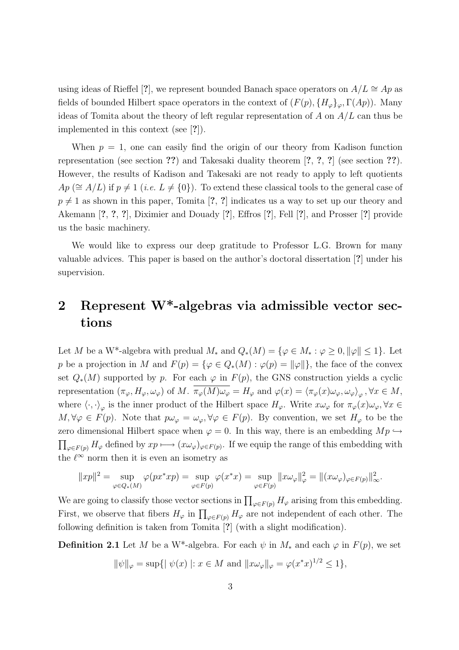using ideas of Rieffel [?], we represent bounded Banach space operators on  $A/L \cong Ap$  as fields of bounded Hilbert space operators in the context of  $(F(p), \{H_{\varphi}\}_{\varphi}, \Gamma(Ap))$ . Many ideas of Tomita about the theory of left regular representation of A on  $A/L$  can thus be implemented in this context (see [?]).

When  $p = 1$ , one can easily find the origin of our theory from Kadison function representation (see section ??) and Takesaki duality theorem [?, ?, ?] (see section ??). However, the results of Kadison and Takesaki are not ready to apply to left quotients  $Ap \ (\cong A/L)$  if  $p \neq 1$  (*i.e.*  $L \neq \{0\}$ ). To extend these classical tools to the general case of  $p \neq 1$  as shown in this paper, Tomita [?, ?] indicates us a way to set up our theory and Akemann [?, ?, ?], Diximier and Douady [?], Effros [?], Fell [?], and Prosser [?] provide us the basic machinery.

We would like to express our deep gratitude to Professor L.G. Brown for many valuable advices. This paper is based on the author's doctoral dissertation [?] under his supervision.

## 2 Represent W\*-algebras via admissible vector sections

Let M be a W<sup>\*</sup>-algebra with predual  $M_*$  and  $Q_*(M) = \{ \varphi \in M_* : \varphi \geq 0, ||\varphi|| \leq 1 \}$ . Let p be a projection in M and  $F(p) = \{ \varphi \in Q_*(M) : \varphi(p) = ||\varphi|| \}$ , the face of the convex set  $Q_*(M)$  supported by p. For each  $\varphi$  in  $F(p)$ , the GNS construction yields a cyclic representation  $(\pi_{\varphi}, H_{\varphi}, \omega_{\varphi})$  of M.  $\pi_{\varphi}(M) \omega_{\varphi} = H_{\varphi}$  and  $\varphi(x) = \langle \pi_{\varphi}(x) \omega_{\varphi}, \omega_{\varphi} \rangle_{\varphi}$ ,  $\forall x \in M$ , where  $\langle \cdot, \cdot \rangle_{\varphi}$  is the inner product of the Hilbert space  $H_{\varphi}$ . Write  $x\omega_{\varphi}$  for  $\pi_{\varphi}(x)\omega_{\varphi}$ ,  $\forall x \in$  $M, \forall \varphi \in F(p)$ . Note that  $p\omega_{\varphi} = \omega_{\varphi}, \forall \varphi \in F(p)$ . By convention, we set  $H_{\varphi}$  to be the zero dimensional Hilbert space when  $\varphi = 0$ . In this way, there is an embedding  $Mp \hookrightarrow$  $\phi_{\phi\in F(p)} H_{\varphi}$  defined by  $xp \longmapsto (x\omega_{\varphi})_{\varphi\in F(p)}$ . If we equip the range of this embedding with the  $\ell^{\infty}$  norm then it is even an isometry as

$$
||xp||^2 = \sup_{\varphi \in Q_*(M)} \varphi(px^*xp) = \sup_{\varphi \in F(p)} \varphi(x^*x) = \sup_{\varphi \in F(p)} ||x\omega_\varphi||^2_\varphi = ||(x\omega_\varphi)_{\varphi \in F(p)}||^2_\infty.
$$

We are going to classify those vector sections in  $\prod_{\varphi \in F(p)} H_{\varphi}$  arising from this embedding. First, we observe that fibers  $H_{\varphi}$  in  $\prod_{\varphi \in F(p)} H_{\varphi}$  are not independent of each other. The following definition is taken from Tomita [?] (with a slight modification).

**Definition 2.1** Let M be a W<sup>\*</sup>-algebra. For each  $\psi$  in  $M_*$  and each  $\varphi$  in  $F(p)$ , we set

$$
\|\psi\|_{\varphi} = \sup\{|\psi(x)| : x \in M \text{ and } \|x\omega_{\varphi}\|_{\varphi} = \varphi(x^*x)^{1/2} \le 1\},\
$$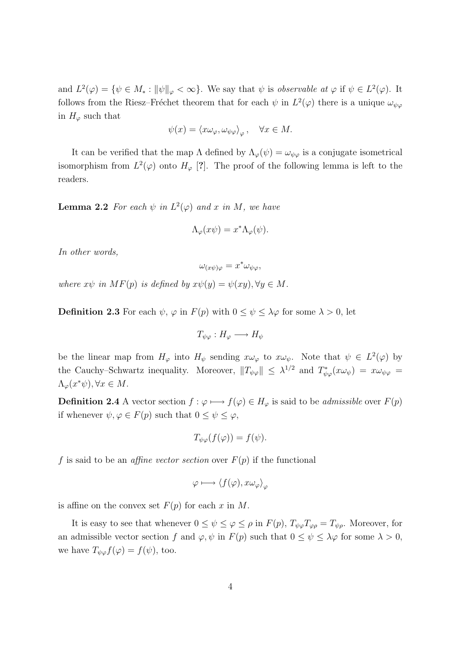and  $L^2(\varphi) = \{ \psi \in M_* : ||\psi||_{\varphi} < \infty \}.$  We say that  $\psi$  is observable at  $\varphi$  if  $\psi \in L^2(\varphi)$ . It follows from the Riesz–Fréchet theorem that for each  $\psi$  in  $L^2(\varphi)$  there is a unique  $\omega_{\psi\varphi}$ in  $H_{\varphi}$  such that

$$
\psi(x) = \langle x\omega_{\varphi}, \omega_{\psi\varphi} \rangle_{\varphi}, \quad \forall x \in M.
$$

It can be verified that the map  $\Lambda$  defined by  $\Lambda_{\varphi}(\psi) = \omega_{\psi\varphi}$  is a conjugate isometrical isomorphism from  $L^2(\varphi)$  onto  $H_{\varphi}$  [?]. The proof of the following lemma is left to the readers.

**Lemma 2.2** For each  $\psi$  in  $L^2(\varphi)$  and x in M, we have

$$
\Lambda_{\varphi}(x\psi) = x^* \Lambda_{\varphi}(\psi).
$$

In other words,

$$
\omega_{(x\psi)\varphi} = x^* \omega_{\psi\varphi},
$$

where  $x\psi$  in  $MF(p)$  is defined by  $x\psi(y) = \psi(xy), \forall y \in M$ .

**Definition 2.3** For each  $\psi$ ,  $\varphi$  in  $F(p)$  with  $0 \leq \psi \leq \lambda \varphi$  for some  $\lambda > 0$ , let

$$
T_{\psi\varphi}:H_{\varphi}\longrightarrow H_{\psi}
$$

be the linear map from  $H_{\varphi}$  into  $H_{\psi}$  sending  $x\omega_{\varphi}$  to  $x\omega_{\psi}$ . Note that  $\psi \in L^2(\varphi)$  by the Cauchy–Schwartz inequality. Moreover,  $||T_{\psi\varphi}|| \leq \lambda^{1/2}$  and  $T_{\psi\varphi}^*(x\omega_{\psi}) = x\omega_{\psi\varphi}$  $\Lambda_{\varphi}(x^*\psi), \forall x \in M.$ 

**Definition 2.4** A vector section  $f : \varphi \mapsto f(\varphi) \in H_{\varphi}$  is said to be *admissible* over  $F(p)$ if whenever  $\psi, \varphi \in F(p)$  such that  $0 \leq \psi \leq \varphi$ ,

$$
T_{\psi\varphi}(f(\varphi)) = f(\psi).
$$

f is said to be an *affine vector section* over  $F(p)$  if the functional

$$
\varphi \longmapsto \langle f(\varphi), x \omega_{\varphi} \rangle_{\varphi}
$$

is affine on the convex set  $F(p)$  for each x in M.

It is easy to see that whenever  $0 \leq \psi \leq \varphi \leq \rho$  in  $F(p)$ ,  $T_{\psi\varphi}T_{\varphi\rho} = T_{\psi\rho}$ . Moreover, for an admissible vector section f and  $\varphi, \psi$  in  $F(p)$  such that  $0 \le \psi \le \lambda \varphi$  for some  $\lambda > 0$ , we have  $T_{\psi\varphi}f(\varphi)=f(\psi)$ , too.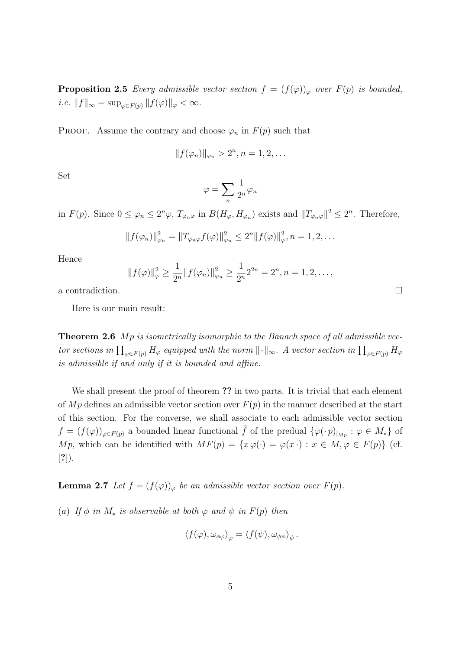**Proposition 2.5** Every admissible vector section  $f = (f(\varphi))_{\varphi}$  over  $F(p)$  is bounded, i.e.  $||f||_{\infty} = \sup_{\varphi \in F(p)} ||f(\varphi)||_{\varphi} < \infty$ .

**PROOF.** Assume the contrary and choose  $\varphi_n$  in  $F(p)$  such that

$$
||f(\varphi_n)||_{\varphi_n} > 2^n, n = 1, 2, \dots
$$

Set

$$
\varphi=\sum_n \frac{1}{2^n}\varphi_n
$$

in  $F(p)$ . Since  $0 \leq \varphi_n \leq 2^n \varphi$ ,  $T_{\varphi_n\varphi}$  in  $B(H_{\varphi}, H_{\varphi_n})$  exists and  $||T_{\varphi_n\varphi}||^2 \leq 2^n$ . Therefore,

$$
||f(\varphi_n)||_{\varphi_n}^2 = ||T_{\varphi_n\varphi}f(\varphi)||_{\varphi_n}^2 \le 2^n ||f(\varphi)||_{\varphi}^2, n = 1, 2, ...
$$

Hence

$$
||f(\varphi)||_{\varphi}^{2} \ge \frac{1}{2^{n}}||f(\varphi_{n})||_{\varphi_{n}}^{2} \ge \frac{1}{2^{n}}2^{2n} = 2^{n}, n = 1, 2, ...,
$$

a contradiction.  $\Box$ 

Here is our main result:

**Theorem 2.6** Mp is isometrically isomorphic to the Banach space of all admissible vector sections in  $\prod_{\varphi \in F(p)} H_{\varphi}$  equipped with the norm  $\|\cdot\|_{\infty}$ . A vector section in  $\prod_{\varphi \in F(p)} H_{\varphi}$ is admissible if and only if it is bounded and affine.

We shall present the proof of theorem ?? in two parts. It is trivial that each element of Mp defines an admissible vector section over  $F(p)$  in the manner described at the start of this section. For the converse, we shall associate to each admissible vector section  $f = (f(\varphi))_{\varphi \in F(p)}$  a bounded linear functional  $\tilde{f}$  of the predual  $\{\varphi(\cdot p)|_{M_p} : \varphi \in M_*\}$  of Mp, which can be identified with  $MF(p) = \{x \varphi(\cdot) = \varphi(x \cdot) : x \in M, \varphi \in F(p)\}\)$  (cf. [?]).

**Lemma 2.7** Let  $f = (f(\varphi))_{\varphi}$  be an admissible vector section over  $F(p)$ .

(a) If  $\phi$  in  $M_*$  is observable at both  $\varphi$  and  $\psi$  in  $F(p)$  then

$$
\langle f(\varphi), \omega_{\phi\varphi} \rangle_{\varphi} = \langle f(\psi), \omega_{\phi\psi} \rangle_{\psi}.
$$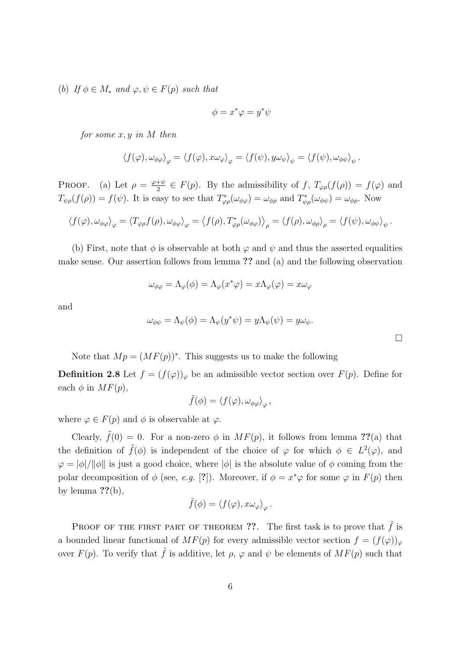(b) If  $\phi \in M_*$  and  $\varphi, \psi \in F(p)$  such that

$$
\phi = x^*\varphi = y^*\psi
$$

for some  $x, y$  in  $M$  then

$$
\langle f(\varphi), \omega_{\phi\varphi} \rangle_{\varphi} = \langle f(\varphi), x \omega_{\varphi} \rangle_{\varphi} = \langle f(\psi), y \omega_{\psi} \rangle_{\psi} = \langle f(\psi), \omega_{\phi\psi} \rangle_{\psi}.
$$

PROOF. (a) Let  $\rho = \frac{\varphi + \psi}{2}$  $\frac{f+\psi}{2} \in F(p)$ . By the admissibility of f,  $T_{\varphi\rho}(f(\rho)) = f(\varphi)$  and  $T_{\psi\rho}(f(\rho)) = f(\psi)$ . It is easy to see that  $T_{\varphi\rho}^*(\omega_{\phi\varphi}) = \omega_{\phi\rho}$  and  $T_{\psi\rho}^*(\omega_{\phi\psi}) = \omega_{\phi\rho}$ . Now

$$
\langle f(\varphi), \omega_{\phi\varphi} \rangle_{\varphi} = \langle T_{\varphi\rho} f(\rho), \omega_{\phi\varphi} \rangle_{\varphi} = \langle f(\rho), T_{\varphi\rho}^{*}(\omega_{\phi\varphi}) \rangle_{\rho} = \langle f(\rho), \omega_{\phi\rho} \rangle_{\rho} = \langle f(\psi), \omega_{\phi\psi} \rangle_{\psi}.
$$

(b) First, note that  $\phi$  is observable at both  $\varphi$  and  $\psi$  and thus the asserted equalities make sense. Our assertion follows from lemma ?? and (a) and the following observation

$$
\omega_{\phi\varphi} = \Lambda_{\varphi}(\phi) = \Lambda_{\varphi}(x^*\varphi) = x\Lambda_{\varphi}(\varphi) = x\omega_{\varphi}
$$

and

$$
\omega_{\phi\psi} = \Lambda_{\psi}(\phi) = \Lambda_{\psi}(y^*\psi) = y\Lambda_{\psi}(\psi) = y\omega_{\psi}.
$$

Note that  $Mp = (MF(p))^*$ . This suggests us to make the following

**Definition 2.8** Let  $f = (f(\varphi))_{\varphi}$  be an admissible vector section over  $F(p)$ . Define for each  $\phi$  in  $MF(p)$ ,

$$
\tilde{f}(\phi) = \langle f(\varphi), \omega_{\phi\varphi} \rangle_{\varphi},
$$

where  $\varphi \in F(p)$  and  $\phi$  is observable at  $\varphi$ .

Clearly,  $\tilde{f}(0) = 0$ . For a non-zero  $\phi$  in  $MF(p)$ , it follows from lemma ??(a) that the definition of  $\tilde{f}(\phi)$  is independent of the choice of  $\varphi$  for which  $\phi \in L^2(\varphi)$ , and  $\varphi = |\phi|/||\phi||$  is just a good choice, where  $|\phi|$  is the absolute value of  $\phi$  coming from the polar decomposition of  $\phi$  (see, e.g. [?]). Moreover, if  $\phi = x^*\varphi$  for some  $\varphi$  in  $F(p)$  then by lemma  $??$ (b),

$$
\tilde{f}(\phi) = \langle f(\varphi), x\omega_{\varphi} \rangle_{\varphi}.
$$

PROOF OF THE FIRST PART OF THEOREM ??. The first task is to prove that  $\tilde{f}$  is a bounded linear functional of  $MF(p)$  for every admissible vector section  $f = (f(\varphi))_{\varphi}$ over  $F(p)$ . To verify that  $\tilde{f}$  is additive, let  $\rho$ ,  $\varphi$  and  $\psi$  be elements of  $MF(p)$  such that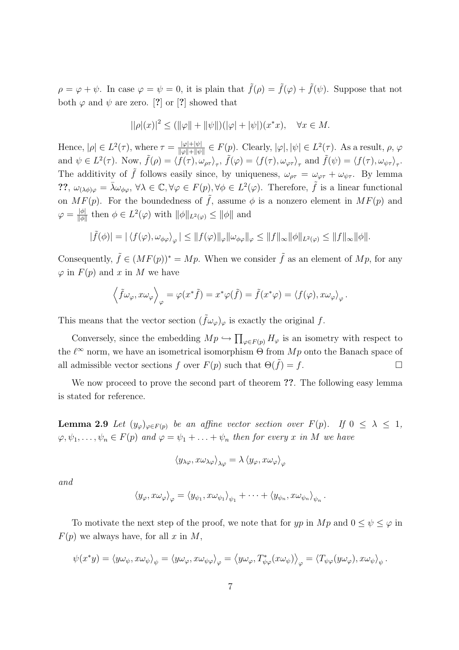$\rho = \varphi + \psi$ . In case  $\varphi = \psi = 0$ , it is plain that  $\tilde{f}(\rho) = \tilde{f}(\varphi) + \tilde{f}(\psi)$ . Suppose that not both  $\varphi$  and  $\psi$  are zero. [?] or [?] showed that

$$
||\rho|(x)|^2 \le (||\varphi|| + ||\psi||)(|\varphi| + |\psi|)(x^*x), \quad \forall x \in M.
$$

Hence,  $|\rho| \in L^2(\tau)$ , where  $\tau = \frac{|\varphi| + |\psi|}{\|\varphi\| + \|\varphi\|}$  $\frac{|\varphi|+|\psi|}{\|\varphi\|+\|\psi\|} \in F(p)$ . Clearly,  $|\varphi|, |\psi| \in L^2(\tau)$ . As a result,  $\rho, \varphi$ and  $\psi \in L^2(\tau)$ . Now,  $\tilde{f}(\rho) = \langle f(\tau), \omega_{\rho\tau} \rangle_{\tau}$ ,  $\tilde{f}(\varphi) = \langle f(\tau), \omega_{\varphi\tau} \rangle_{\tau}$  and  $\tilde{f}(\psi) = \langle f(\tau), \omega_{\psi\tau} \rangle_{\tau}$ . The additivity of  $\tilde{f}$  follows easily since, by uniqueness,  $\omega_{\rho\tau} = \omega_{\varphi\tau} + \omega_{\psi\tau}$ . By lemma ??,  $\omega_{(\lambda \phi)\varphi} = \bar{\lambda} \omega_{\phi\varphi}$ ,  $\forall \lambda \in \mathbb{C}, \forall \varphi \in F(p), \forall \phi \in L^2(\varphi)$ . Therefore,  $\tilde{f}$  is a linear functional on  $MF(p)$ . For the boundedness of  $\tilde{f}$ , assume  $\phi$  is a nonzero element in  $MF(p)$  and  $\varphi = \frac{|\phi|}{||\phi||}$  $\frac{|\phi|}{\|\phi\|}$  then  $\phi \in L^2(\varphi)$  with  $\|\phi\|_{L^2(\varphi)} \le \|\phi\|$  and

$$
|\tilde{f}(\phi)| = |\langle f(\varphi), \omega_{\phi\varphi} \rangle_{\varphi}| \leq ||f(\varphi)||_{\varphi} ||\omega_{\phi\varphi}||_{\varphi} \leq ||f||_{\infty} ||\phi||_{L^2(\varphi)} \leq ||f||_{\infty} ||\phi||.
$$

Consequently,  $\tilde{f} \in (MF(p))^* = Mp$ . When we consider  $\tilde{f}$  as an element of  $Mp$ , for any  $\varphi$  in  $F(p)$  and x in M we have

$$
\left\langle \tilde{f}\omega_{\varphi},x\omega_{\varphi}\right\rangle_{\varphi}=\varphi(x^*\tilde{f})=x^*\varphi(\tilde{f})=\tilde{f}(x^*\varphi)=\left\langle f(\varphi),x\omega_{\varphi}\right\rangle_{\varphi}.
$$

This means that the vector section  $(f\omega_{\varphi})_{\varphi}$  is exactly the original f.

Conversely, since the embedding  $Mp \hookrightarrow$  $\overline{a}$  $\varphi \in F(p)$   $H_{\varphi}$  is an isometry with respect to the  $\ell^{\infty}$  norm, we have an isometrical isomorphism  $\Theta$  from  $Mp$  onto the Banach space of all admissible vector sections f over  $F(p)$  such that  $\Theta(\tilde{f}) = f$ .

We now proceed to prove the second part of theorem ??. The following easy lemma is stated for reference.

**Lemma 2.9** Let  $(y_{\varphi})_{\varphi \in F(p)}$  be an affine vector section over  $F(p)$ . If  $0 \leq \lambda \leq 1$ ,  $\varphi, \psi_1, \ldots, \psi_n \in F(p)$  and  $\varphi = \psi_1 + \ldots + \psi_n$  then for every x in M we have

$$
\left\langle y_{\lambda\varphi},x\omega_{\lambda\varphi}\right\rangle _{\lambda\varphi}=\lambda\left\langle y_{\varphi},x\omega_{\varphi}\right\rangle _{\varphi}
$$

and

$$
\langle y_{\varphi}, x\omega_{\varphi}\rangle_{\varphi} = \langle y_{\psi_1}, x\omega_{\psi_1}\rangle_{\psi_1} + \cdots + \langle y_{\psi_n}, x\omega_{\psi_n}\rangle_{\psi_n}.
$$

To motivate the next step of the proof, we note that for yp in  $Mp$  and  $0 \leq \psi \leq \varphi$  in  $F(p)$  we always have, for all x in M,

$$
\psi(x^*y) = \langle y\omega_{\psi}, x\omega_{\psi}\rangle_{\psi} = \langle y\omega_{\varphi}, x\omega_{\psi\varphi}\rangle_{\varphi} = \langle y\omega_{\varphi}, T^*_{\psi\varphi}(x\omega_{\psi})\rangle_{\varphi} = \langle T_{\psi\varphi}(y\omega_{\varphi}), x\omega_{\psi}\rangle_{\psi}.
$$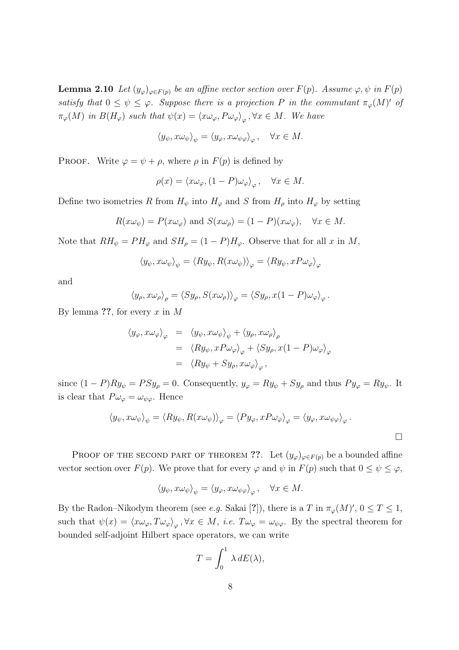**Lemma 2.10** Let  $(y_{\varphi})_{\varphi \in F(p)}$  be an affine vector section over  $F(p)$ . Assume  $\varphi, \psi$  in  $F(p)$ satisfy that  $0 \leq \psi \leq \varphi$ . Suppose there is a projection P in the commutant  $\pi_{\varphi}(M)'$  of  $\pi_{\varphi}(M)$  in  $B(H_{\varphi})$  such that  $\psi(x) = \langle x \omega_{\varphi}, P \omega_{\varphi} \rangle_{\varphi}, \forall x \in M$ . We have

$$
\langle y_{\psi}, x \omega_{\psi} \rangle_{\psi} = \langle y_{\varphi}, x \omega_{\psi \varphi} \rangle_{\varphi}, \quad \forall x \in M.
$$

PROOF. Write  $\varphi = \psi + \rho$ , where  $\rho$  in  $F(p)$  is defined by

$$
\rho(x) = \langle x\omega_{\varphi}, (1 - P)\omega_{\varphi} \rangle_{\varphi}, \quad \forall x \in M.
$$

Define two isometries R from  $H_{\psi}$  into  $H_{\varphi}$  and S from  $H_{\rho}$  into  $H_{\varphi}$  by setting

$$
R(x\omega_{\psi}) = P(x\omega_{\varphi}) \text{ and } S(x\omega_{\rho}) = (1 - P)(x\omega_{\varphi}), \quad \forall x \in M.
$$

Note that  $RH_{\psi} = PH_{\varphi}$  and  $SH_{\rho} = (1 - P)H_{\varphi}$ . Observe that for all x in M,

$$
\langle y_{\psi}, x\omega_{\psi}\rangle_{\psi} = \langle Ry_{\psi}, R(x\omega_{\psi})\rangle_{\varphi} = \langle Ry_{\psi}, xP\omega_{\varphi}\rangle_{\varphi}
$$

and

$$
\langle y_{\rho}, x \omega_{\rho} \rangle_{\rho} = \langle Sy_{\rho}, S(x \omega_{\rho}) \rangle_{\varphi} = \langle Sy_{\rho}, x(1 - P) \omega_{\varphi} \rangle_{\varphi}.
$$

By lemma  $\mathbf{??}$ , for every x in M

$$
\langle y_{\varphi}, x\omega_{\varphi} \rangle_{\varphi} = \langle y_{\psi}, x\omega_{\psi} \rangle_{\psi} + \langle y_{\rho}, x\omega_{\rho} \rangle_{\rho}
$$
  
=  $\langle Ry_{\psi}, xP\omega_{\varphi} \rangle_{\varphi} + \langle Sy_{\rho}, x(1-P)\omega_{\varphi} \rangle_{\varphi}$   
=  $\langle Ry_{\psi} + Sy_{\rho}, x\omega_{\varphi} \rangle_{\varphi}$ ,

since  $(1 - P)Ry_{\psi} = PSy_{\rho} = 0$ . Consequently,  $y_{\varphi} = Ry_{\psi} + Sy_{\rho}$  and thus  $Py_{\varphi} = Ry_{\psi}$ . It is clear that  $P\omega_{\varphi} = \omega_{\psi\varphi}$ . Hence

$$
\langle y_{\psi}, x\omega_{\psi}\rangle_{\psi} = \langle Ry_{\psi}, R(x\omega_{\psi})\rangle_{\varphi} = \langle Py_{\varphi}, xP\omega_{\varphi}\rangle_{\varphi} = \langle y_{\varphi}, x\omega_{\psi\varphi}\rangle_{\varphi}.
$$

PROOF OF THE SECOND PART OF THEOREM ??. Let  $(y_{\varphi})_{\varphi \in F(p)}$  be a bounded affine vector section over  $F(p)$ . We prove that for every  $\varphi$  and  $\psi$  in  $F(p)$  such that  $0 \le \psi \le \varphi$ ,

$$
\langle y_{\psi}, x \omega_{\psi} \rangle_{\psi} = \langle y_{\varphi}, x \omega_{\psi \varphi} \rangle_{\varphi}, \quad \forall x \in M.
$$

By the Radon–Nikodym theorem (see *e.g.* Sakai [?]), there is a T in  $\pi_{\varphi}(M)$ ',  $0 \le T \le 1$ , such that  $\psi(x) = \langle x \omega_{\varphi}, T \omega_{\varphi} \rangle_{\varphi}, \forall x \in M, i.e.$   $T \omega_{\varphi} = \omega_{\psi\varphi}$ . By the spectral theorem for bounded self-adjoint Hilbert space operators, we can write

$$
T = \int_0^1 \lambda \, dE(\lambda),
$$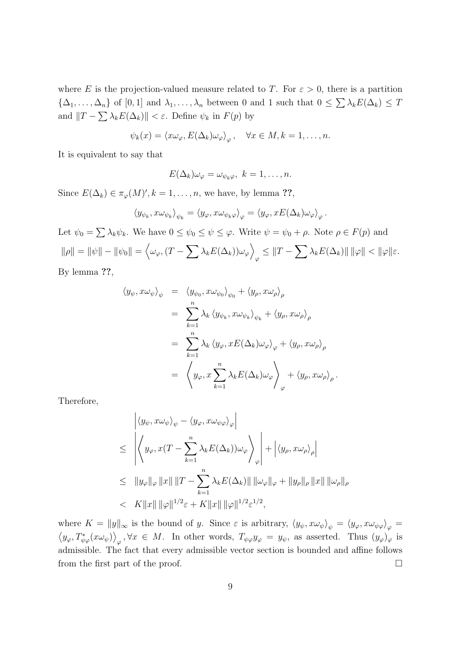where E is the projection-valued measure related to T. For  $\varepsilon > 0$ , there is a partition  $\{\Delta_1, \ldots, \Delta_n\}$  of  $[0,1]$  and  $\lambda_1, \ldots, \lambda_n$  between 0 and 1 such that  $0 \leq \sum_{k} \lambda_k E(\Delta_k) \leq T$ and  $||T - \sum \lambda_k E(\Delta_k)|| < \varepsilon$ . Define  $\psi_k$  in  $F(p)$  by

$$
\psi_k(x) = \langle x\omega_\varphi, E(\Delta_k)\omega_\varphi \rangle_\varphi, \quad \forall x \in M, k = 1, \dots, n.
$$

It is equivalent to say that

$$
E(\Delta_k)\omega_{\varphi}=\omega_{\psi_k\varphi},\ k=1,\ldots,n.
$$

Since  $E(\Delta_k) \in \pi_{\varphi}(M)$ ',  $k = 1, \ldots, n$ , we have, by lemma ??,

$$
\left\langle y_{\psi_k},x\omega_{\psi_k}\right\rangle_{\psi_k}=\left\langle y_{\varphi},x\omega_{\psi_k\varphi}\right\rangle_{\varphi}=\left\langle y_{\varphi},xE(\Delta_k)\omega_{\varphi}\right\rangle_{\varphi}.
$$

Let  $\psi_0 = \sum \lambda_k \psi_k$ . We have  $0 \leq \psi_0 \leq \psi \leq \varphi$ . Write  $\psi = \psi_0 + \rho$ . Note  $\rho \in F(p)$  and  $\|\rho\| = \|\psi\| - \|\psi_0\| =$  $\overline{a}$  $\omega_\varphi,(T-\sum \lambda_k E(\Delta_k))\omega_\varphi\Big\}$  $\mathbb{E}_{\varphi} \leq \|T - \sum \lambda_k E(\Delta_k)\| \, \|\varphi\| < \|\varphi\| \varepsilon.$ 

By lemma ??,

$$
\langle y_{\psi}, x\omega_{\psi}\rangle_{\psi} = \langle y_{\psi_{0}}, x\omega_{\psi_{0}}\rangle_{\psi_{0}} + \langle y_{\rho}, x\omega_{\rho}\rangle_{\rho}
$$
  

$$
= \sum_{k=1}^{n} \lambda_{k} \langle y_{\psi_{k}}, x\omega_{\psi_{k}}\rangle_{\psi_{k}} + \langle y_{\rho}, x\omega_{\rho}\rangle_{\rho}
$$
  

$$
= \sum_{k=1}^{n} \lambda_{k} \langle y_{\varphi}, xE(\Delta_{k})\omega_{\varphi}\rangle_{\varphi} + \langle y_{\rho}, x\omega_{\rho}\rangle_{\rho}
$$
  

$$
= \langle y_{\varphi}, x\sum_{k=1}^{n} \lambda_{k} E(\Delta_{k})\omega_{\varphi} \rangle_{\varphi} + \langle y_{\rho}, x\omega_{\rho}\rangle_{\rho}.
$$

Therefore,

$$
\left| \langle y_{\psi}, x\omega_{\psi} \rangle_{\psi} - \langle y_{\varphi}, x\omega_{\psi\varphi} \rangle_{\varphi} \right|
$$
  
\n
$$
\leq \left| \left\langle y_{\varphi}, x(T - \sum_{k=1}^{n} \lambda_{k} E(\Delta_{k})) \omega_{\varphi} \right\rangle_{\varphi} \right| + \left| \langle y_{\rho}, x\omega_{\rho} \rangle_{\rho} \right|
$$
  
\n
$$
\leq ||y_{\varphi}||_{\varphi} ||x|| ||T - \sum_{k=1}^{n} \lambda_{k} E(\Delta_{k}) || ||\omega_{\varphi}||_{\varphi} + ||y_{\rho}||_{\rho} ||x|| ||\omega_{\rho}||_{\rho}
$$
  
\n
$$
< K ||x|| ||\varphi||^{1/2} \varepsilon + K ||x|| ||\varphi||^{1/2} \varepsilon^{1/2},
$$

where  $K = ||y||_{\infty}$  is the bound of y. Since  $\varepsilon$  is arbitrary,  $\langle y_{\psi}, x\omega_{\psi}\rangle_{\psi} = \langle y_{\varphi}, x\omega_{\psi\varphi}\rangle_{\varphi} =$  $y_{\varphi}, T_{\psi\varphi}^*(x\omega_{\psi})\rangle_{\varphi}, \forall x \in M.$  In other words,  $T_{\psi\varphi}y_{\varphi} = y_{\psi}$ , as asserted. Thus  $(y_{\varphi})_{\varphi}$  is admissible. The fact that every admissible vector section is bounded and affine follows from the first part of the proof.  $\Box$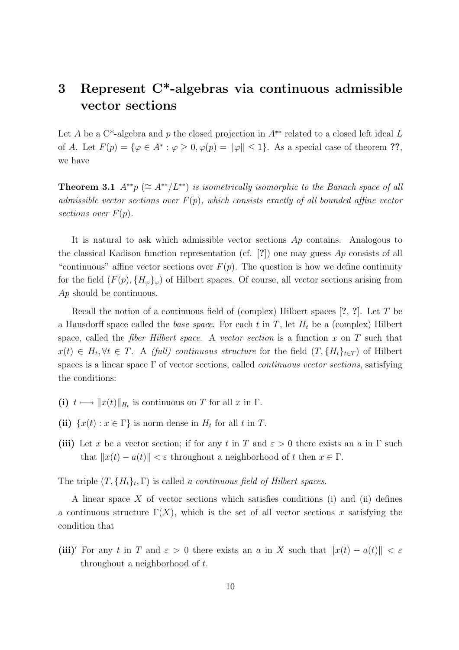## 3 Represent C\*-algebras via continuous admissible vector sections

Let A be a C<sup>\*</sup>-algebra and p the closed projection in  $A^{**}$  related to a closed left ideal L of A. Let  $F(p) = \{ \varphi \in A^* : \varphi \geq 0, \varphi(p) = ||\varphi|| \leq 1 \}.$  As a special case of theorem ??, we have

**Theorem 3.1**  $A^{**}p \ (\cong A^{**}/L^{**})$  is isometrically isomorphic to the Banach space of all admissible vector sections over  $F(p)$ , which consists exactly of all bounded affine vector sections over  $F(p)$ .

It is natural to ask which admissible vector sections Ap contains. Analogous to the classical Kadison function representation (cf.  $[?]$ ) one may guess Ap consists of all "continuous" affine vector sections over  $F(p)$ . The question is how we define continuity for the field  $(F(p), \{H_{\varphi}\}_{\varphi})$  of Hilbert spaces. Of course, all vector sections arising from Ap should be continuous.

Recall the notion of a continuous field of (complex) Hilbert spaces  $[?, ?]$ . Let T be a Hausdorff space called the *base space*. For each t in T, let  $H_t$  be a (complex) Hilbert space, called the *fiber Hilbert space*. A vector section is a function  $x$  on  $T$  such that  $x(t) \in H_t, \forall t \in T$ . A (full) continuous structure for the field  $(T, \{H_t\}_{t \in T})$  of Hilbert spaces is a linear space  $\Gamma$  of vector sections, called *continuous vector sections*, satisfying the conditions:

- (i)  $t \mapsto ||x(t)||_{H_t}$  is continuous on T for all x in  $\Gamma$ .
- (ii)  $\{x(t) : x \in \Gamma\}$  is norm dense in  $H_t$  for all t in T.
- (iii) Let x be a vector section; if for any t in T and  $\varepsilon > 0$  there exists an a in  $\Gamma$  such that  $||x(t) - a(t)|| < \varepsilon$  throughout a neighborhood of t then  $x \in \Gamma$ .

The triple  $(T, \{H_t\}_t, \Gamma)$  is called a continuous field of Hilbert spaces.

A linear space X of vector sections which satisfies conditions (i) and (ii) defines a continuous structure  $\Gamma(X)$ , which is the set of all vector sections x satisfying the condition that

(iii)<sup>'</sup> For any t in T and  $\varepsilon > 0$  there exists an a in X such that  $||x(t) - a(t)|| < \varepsilon$ throughout a neighborhood of t.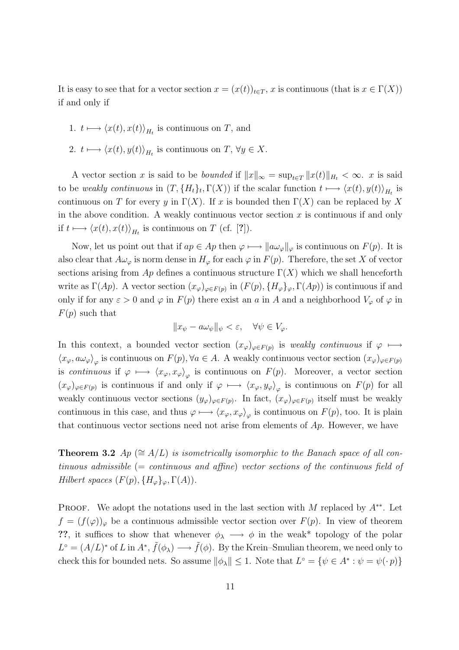It is easy to see that for a vector section  $x = (x(t))_{t \in T}$ , x is continuous (that is  $x \in \Gamma(X)$ ) if and only if

- 1.  $t \mapsto \langle x(t), x(t) \rangle_{H_t}$  is continuous on T, and
- 2.  $t \longmapsto \langle x(t), y(t) \rangle_{H_t}$  is continuous on  $T, \forall y \in X$ .

A vector section x is said to be *bounded* if  $||x||_{\infty} = \sup_{t \in T} ||x(t)||_{H_t} < \infty$ . x is said to be weakly continuous in  $(T, \{H_t\}_t, \Gamma(X))$  if the scalar function  $t \mapsto \langle x(t), y(t) \rangle_{H_t}$  is continuous on T for every y in  $\Gamma(X)$ . If x is bounded then  $\Gamma(X)$  can be replaced by X in the above condition. A weakly continuous vector section  $x$  is continuous if and only if  $t \mapsto \langle x(t), x(t) \rangle_{H_t}$  is continuous on T (cf. [?]).

Now, let us point out that if  $ap \in Ap$  then  $\varphi \mapsto \|a\omega_{\varphi}\|_{\varphi}$  is continuous on  $F(p)$ . It is also clear that  $A\omega_{\varphi}$  is norm dense in  $H_{\varphi}$  for each  $\varphi$  in  $F(p)$ . Therefore, the set X of vector sections arising from  $Ap$  defines a continuous structure  $\Gamma(X)$  which we shall henceforth write as  $\Gamma(Ap)$ . A vector section  $(x_{\varphi})_{\varphi \in F(p)}$  in  $(F(p), \{H_{\varphi}\}_{\varphi}, \Gamma(Ap))$  is continuous if and only if for any  $\varepsilon > 0$  and  $\varphi$  in  $F(p)$  there exist an a in A and a neighborhood  $V_{\varphi}$  of  $\varphi$  in  $F(p)$  such that

$$
||x_{\psi} - a\omega_{\psi}||_{\psi} < \varepsilon, \quad \forall \psi \in V_{\varphi}.
$$

In this context, a bounded vector section  $(x_{\varphi})_{\varphi \in F(p)}$  is weakly continuous if  $\varphi \mapsto$  $\langle x_{\varphi}, a\omega_{\varphi}\rangle_{\varphi}$  is continuous on  $F(p)$ ,  $\forall a \in A$ . A weakly continuous vector section  $(x_{\varphi})_{\varphi \in F(p)}$ is continuous if  $\varphi \mapsto \langle x_{\varphi}, x_{\varphi} \rangle_{\varphi}$  is continuous on  $F(p)$ . Moreover, a vector section  $(x_{\varphi})_{\varphi \in F(p)}$  is continuous if and only if  $\varphi \mapsto \langle x_{\varphi}, y_{\varphi} \rangle_{\varphi}$  is continuous on  $F(p)$  for all weakly continuous vector sections  $(y_\varphi)_{\varphi \in F(p)}$ . In fact,  $(x_\varphi)_{\varphi \in F(p)}$  itself must be weakly continuous in this case, and thus  $\varphi \longmapsto \langle x_{\varphi}, x_{\varphi} \rangle_{\varphi}$  is continuous on  $F(p)$ , too. It is plain that continuous vector sections need not arise from elements of  $Ap$ . However, we have

Theorem 3.2 Ap ( $\cong A/L$ ) is isometrically isomorphic to the Banach space of all continuous admissible (= continuous and affine) vector sections of the continuous field of Hilbert spaces  $(F(p), \{H_{\varphi}\}_{\varphi}, \Gamma(A)).$ 

**PROOF.** We adopt the notations used in the last section with M replaced by  $A^{**}$ . Let  $f = (f(\varphi))_{\varphi}$  be a continuous admissible vector section over  $F(p)$ . In view of theorem ??, it suffices to show that whenever  $\phi_{\lambda} \longrightarrow \phi$  in the weak\* topology of the polar  $L^{\circ} = (A/L)^{*}$  of L in  $A^{*}, \tilde{f}(\phi_{\lambda}) \longrightarrow \tilde{f}(\phi)$ . By the Krein–Smulian theorem, we need only to check this for bounded nets. So assume  $\|\phi_{\lambda}\| \leq 1$ . Note that  $L^{\circ} = \{ \psi \in A^* : \psi = \psi(\cdot p) \}$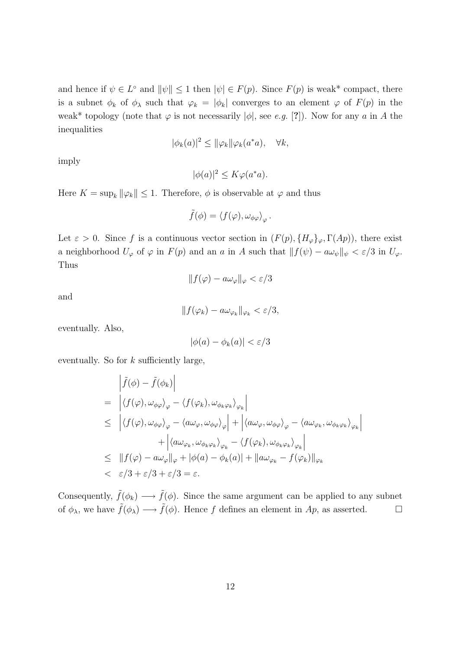and hence if  $\psi \in L^{\circ}$  and  $\|\psi\| \leq 1$  then  $|\psi| \in F(p)$ . Since  $F(p)$  is weak\* compact, there is a subnet  $\phi_k$  of  $\phi_\lambda$  such that  $\varphi_k = |\phi_k|$  converges to an element  $\varphi$  of  $F(p)$  in the weak\* topology (note that  $\varphi$  is not necessarily  $|\phi|$ , see e.g. [?]). Now for any a in A the inequalities

$$
|\phi_k(a)|^2 \le ||\varphi_k||\varphi_k(a^*a), \quad \forall k,
$$

imply

$$
|\phi(a)|^2 \le K\varphi(a^*a).
$$

Here  $K = \sup_k ||\varphi_k|| \leq 1$ . Therefore,  $\phi$  is observable at  $\varphi$  and thus

$$
\tilde{f}(\phi) = \langle f(\varphi), \omega_{\phi\varphi} \rangle_{\varphi}.
$$

Let  $\varepsilon > 0$ . Since f is a continuous vector section in  $(F(p), \{H_{\varphi}\}_{\varphi}, \Gamma(Ap))$ , there exist a neighborhood  $U_{\varphi}$  of  $\varphi$  in  $F(p)$  and an a in A such that  $|| f(\psi) - a\omega_{\psi} ||_{\psi} < \varepsilon/3$  in  $U_{\varphi}$ . Thus

$$
||f(\varphi) - a\omega_{\varphi}||_{\varphi} < \varepsilon/3
$$

and

$$
||f(\varphi_k) - a\omega_{\varphi_k}||_{\varphi_k} < \varepsilon/3,
$$

eventually. Also,

$$
|\phi(a) - \phi_k(a)| < \varepsilon/3
$$

eventually. So for  $k$  sufficiently large,

$$
\begin{aligned}\n&\left| \tilde{f}(\phi) - \tilde{f}(\phi_k) \right| \\
&= \left| \langle f(\varphi), \omega_{\phi\varphi} \rangle_{\varphi} - \langle f(\varphi_k), \omega_{\phi_k\varphi_k} \rangle_{\varphi_k} \right| \\
&\leq \left| \langle f(\varphi), \omega_{\phi\varphi} \rangle_{\varphi} - \langle a\omega_{\varphi}, \omega_{\phi\varphi} \rangle_{\varphi} \right| + \left| \langle a\omega_{\varphi}, \omega_{\phi\varphi} \rangle_{\varphi} - \langle a\omega_{\varphi_k}, \omega_{\phi_k\varphi_k} \rangle_{\varphi_k} \right| \\
&+ \left| \langle a\omega_{\varphi_k}, \omega_{\phi_k\varphi_k} \rangle_{\varphi_k} - \langle f(\varphi_k), \omega_{\phi_k\varphi_k} \rangle_{\varphi_k} \right| \\
&\leq \left| |f(\varphi) - a\omega_{\varphi}||_{\varphi} + |\phi(a) - \phi_k(a)| + ||a\omega_{\varphi_k} - f(\varphi_k)||_{\varphi_k} \right| \\
&< \varepsilon/3 + \varepsilon/3 + \varepsilon/3 = \varepsilon.\n\end{aligned}
$$

Consequently,  $\tilde{f}(\phi_k) \longrightarrow \tilde{f}(\phi)$ . Since the same argument can be applied to any subnet of  $\phi_{\lambda}$ , we have  $\tilde{f}(\phi_{\lambda}) \longrightarrow \tilde{f}(\phi)$ . Hence f defines an element in Ap, as asserted.  $\square$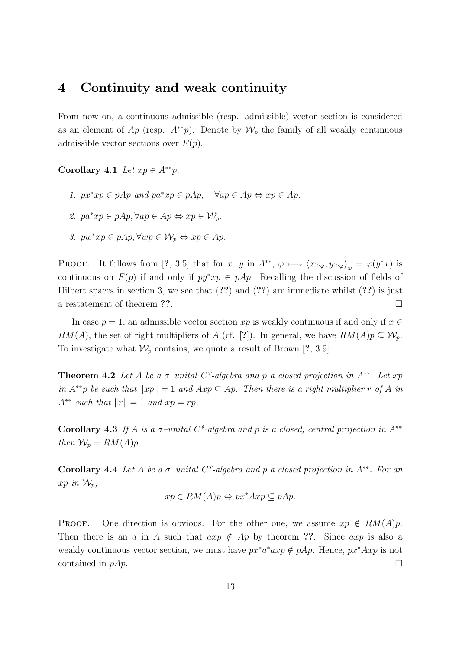## 4 Continuity and weak continuity

From now on, a continuous admissible (resp. admissible) vector section is considered as an element of Ap (resp.  $A^{**}p$ ). Denote by  $\mathcal{W}_p$  the family of all weakly continuous admissible vector sections over  $F(p)$ .

Corollary 4.1 Let  $xp \in A^{**}p$ .

- 1.  $px^*xp \in pAp$  and  $pa^*xp \in pAp$ ,  $\forall ap \in Ap \Leftrightarrow xp \in Ap$ .
- 2.  $pa^*xp \in pAp, \forall ap \in Ap \Leftrightarrow xp \in \mathcal{W}_n$ .
- 3.  $pw^*xp \in pAp, \forall wp \in \mathcal{W}_p \Leftrightarrow xp \in Ap.$

**PROOF.** It follows from [?, 3.5] that for x, y in  $A^{**}$ ,  $\varphi \mapsto \langle x\omega_{\varphi}, y\omega_{\varphi} \rangle_{\varphi} = \varphi(y^*x)$  is continuous on  $F(p)$  if and only if  $py * xp \in pAp$ . Recalling the discussion of fields of Hilbert spaces in section 3, we see that  $(??)$  and  $(??)$  are immediate whilst  $(??)$  is just a restatement of theorem ??.

In case  $p = 1$ , an admissible vector section xp is weakly continuous if and only if  $x \in$ RM(A), the set of right multipliers of A (cf. [?]). In general, we have  $RM(A)p \subseteq W_p$ . To investigate what  $\mathcal{W}_p$  contains, we quote a result of Brown [?, 3.9]:

**Theorem 4.2** Let A be a  $\sigma$ -unital C<sup>\*</sup>-algebra and p a closed projection in A<sup>\*\*</sup>. Let xp in  $A^{**}p$  be such that  $||xp|| = 1$  and  $Axp \subseteq Ap$ . Then there is a right multiplier r of A in  $A^{**}$  such that  $||r|| = 1$  and  $xp = rp$ .

Corollary 4.3 If A is a  $\sigma$ -unital C<sup>\*</sup>-algebra and p is a closed, central projection in A<sup>\*\*</sup> then  $W_p = RM(A)p$ .

Corollary 4.4 Let A be a  $\sigma$ -unital C<sup>\*</sup>-algebra and p a closed projection in A<sup>\*\*</sup>. For an  $xp$  in  $\mathcal{W}_p$ ,

$$
xp \in RM(A)p \Leftrightarrow px^*Axp \subseteq pAp.
$$

**PROOF.** One direction is obvious. For the other one, we assume  $xp \notin RM(A)p$ . Then there is an a in A such that  $\arg \notin Ap$  by theorem ??. Since  $\arg$  is also a weakly continuous vector section, we must have  $px^*a^*axp \notin pAp$ . Hence,  $px^*Axp$  is not contained in  $pAp$ .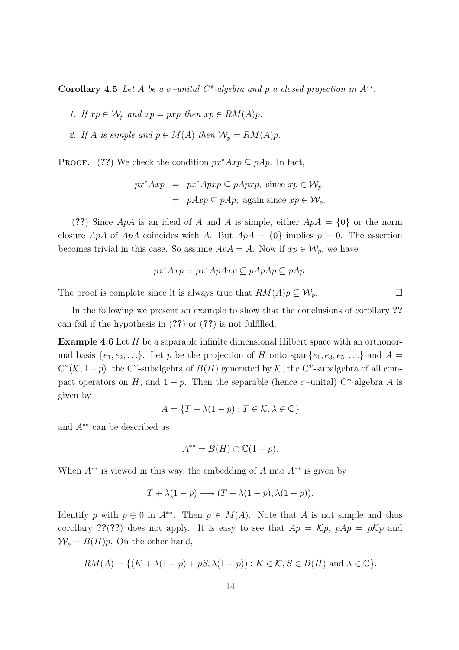Corollary 4.5 Let A be a  $\sigma$ -unital C<sup>\*</sup>-algebra and p a closed projection in A<sup>\*\*</sup>.

1. If  $xp \in W_p$  and  $xp = pxp$  then  $xp \in RM(A)p$ .

2. If A is simple and  $p \in M(A)$  then  $\mathcal{W}_p = RM(A)p$ .

**PROOF.** (??) We check the condition  $px^*Axp \subseteq pAp$ . In fact,

$$
px^*Axp = px^*Apxp \subseteq pApxp, \text{ since } xp \in \mathcal{W}_p,
$$
  
=  $pAxp \subseteq pAp, \text{ again since } xp \in \mathcal{W}_p.$ 

(??) Since  $ApA$  is an ideal of A and A is simple, either  $ApA = \{0\}$  or the norm closure  $\overline{ApA}$  of  $ApA$  coincides with A. But  $ApA = \{0\}$  implies  $p = 0$ . The assertion becomes trivial in this case. So assume  $\overline{ApA} = A$ . Now if  $xp \in \mathcal{W}_p$ , we have

$$
px^*Axp = px^*\overline{ApA}xp \subseteq \overline{pApAp} \subseteq pAp.
$$

The proof is complete since it is always true that  $RM(A)p \subseteq W_p$ .

In the following we present an example to show that the conclusions of corollary ?? can fail if the hypothesis in (??) or (??) is not fulfilled.

Example 4.6 Let H be a separable infinite dimensional Hilbert space with an orthonormal basis  $\{e_1, e_2, \ldots\}$ . Let p be the projection of H onto span $\{e_1, e_3, e_5, \ldots\}$  and  $A =$  $C^*(\mathcal{K}, 1-p)$ , the C<sup>\*</sup>-subalgebra of  $B(H)$  generated by  $\mathcal{K}$ , the C<sup>\*</sup>-subalgebra of all compact operators on H, and  $1 - p$ . Then the separable (hence  $\sigma$ –unital) C<sup>\*</sup>-algebra A is given by

$$
A = \{ T + \lambda(1 - p) : T \in \mathcal{K}, \lambda \in \mathbb{C} \}
$$

and  $A^{**}$  can be described as

$$
A^{**} = B(H) \oplus \mathbb{C}(1 - p).
$$

When  $A^{**}$  is viewed in this way, the embedding of A into  $A^{**}$  is given by

$$
T + \lambda(1 - p) \longrightarrow (T + \lambda(1 - p), \lambda(1 - p)).
$$

Identify p with  $p \oplus 0$  in  $A^{**}$ . Then  $p \in M(A)$ . Note that A is not simple and thus corollary ??(??) does not apply. It is easy to see that  $Ap = \mathcal{K}p$ ,  $pAp = p\mathcal{K}p$  and  $W_p = B(H)p$ . On the other hand,

$$
RM(A) = \{ (K + \lambda(1 - p) + pS, \lambda(1 - p)) : K \in \mathcal{K}, S \in B(H) \text{ and } \lambda \in \mathbb{C} \}.
$$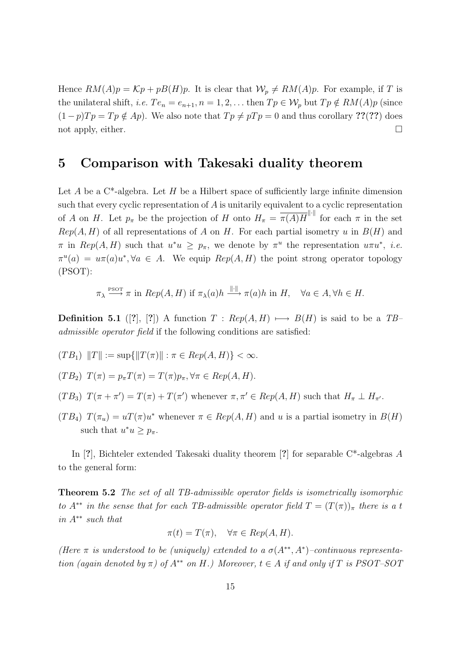Hence  $RM(A)p = \mathcal{K}p + pB(H)p$ . It is clear that  $\mathcal{W}_p \neq RM(A)p$ . For example, if T is the unilateral shift, *i.e.*  $Te_n = e_{n+1}, n = 1, 2, \ldots$  then  $Tp \in \mathcal{W}_p$  but  $Tp \notin RM(A)p$  (since  $(1-p)Tp = Tp \notin Ap$ . We also note that  $Tp \neq pTp = 0$  and thus corollary ??(??) does not apply, either.  $\Box$ 

#### 5 Comparison with Takesaki duality theorem

Let  $A$  be a  $C^*$ -algebra. Let  $H$  be a Hilbert space of sufficiently large infinite dimension such that every cyclic representation of A is unitarily equivalent to a cyclic representation of A on H. Let  $p_{\pi}$  be the projection of H onto  $H_{\pi} = \overline{\pi(A)H}^{\|\cdot\|}$  for each  $\pi$  in the set  $Rep(A, H)$  of all representations of A on H. For each partial isometry u in  $B(H)$  and  $\pi$  in  $Rep(A, H)$  such that  $u^*u \geq p_{\pi}$ , we denote by  $\pi^u$  the representation  $u\pi u^*$ , *i.e.*  $\pi^u(a) = u\pi(a)u^*, \forall a \in A$ . We equip  $Rep(A, H)$  the point strong operator topology (PSOT):

$$
\pi_{\lambda} \xrightarrow{\text{PSOT}} \pi \text{ in } Rep(A, H) \text{ if } \pi_{\lambda}(a)h \xrightarrow{\|\cdot\|} \pi(a)h \text{ in } H, \quad \forall a \in A, \forall h \in H.
$$

**Definition 5.1** ([?], [?]) A function  $T : Rep(A, H) \longmapsto B(H)$  is said to be a TB– admissible operator field if the following conditions are satisfied:

$$
(TB_1) \|T\| := \sup\{\|T(\pi)\| : \pi \in Rep(A, H)\} < \infty.
$$

$$
(TB_2) T(\pi) = p_{\pi} T(\pi) = T(\pi) p_{\pi}, \forall \pi \in Rep(A, H).
$$

- $(TB_3)$   $T(\pi + \pi') = T(\pi) + T(\pi')$  whenever  $\pi, \pi' \in Rep(A, H)$  such that  $H_{\pi} \perp H_{\pi'}$ .
- $(TB_4)$   $T(\pi_u) = uT(\pi)u^*$  whenever  $\pi \in Rep(A, H)$  and u is a partial isometry in  $B(H)$ such that  $u^*u \geq p_{\pi}$ .

In [?], Bichteler extended Takesaki duality theorem [?] for separable C\*-algebras A to the general form:

Theorem 5.2 The set of all TB-admissible operator fields is isometrically isomorphic to  $A^{**}$  in the sense that for each TB-admissible operator field  $T = (T(\pi))_{\pi}$  there is a t in A∗∗ such that

$$
\pi(t) = T(\pi), \quad \forall \pi \in Rep(A, H).
$$

(Here  $\pi$  is understood to be (uniquely) extended to a  $\sigma(A^{**},A^{*})$ -continuous representation (again denoted by  $\pi$ ) of  $A^{**}$  on H.) Moreover,  $t \in A$  if and only if T is PSOT–SOT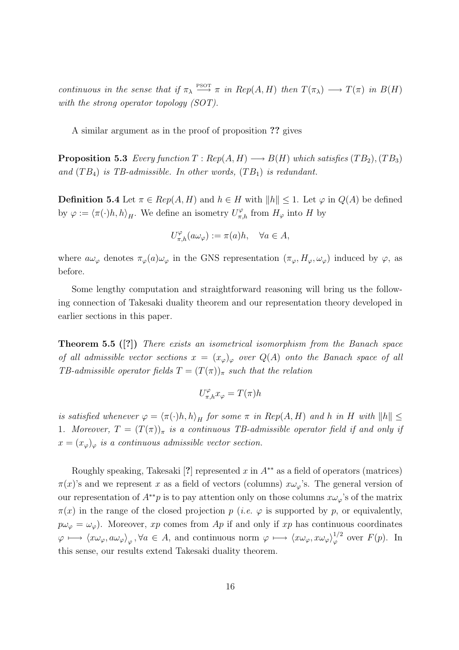continuous in the sense that if  $\pi_{\lambda} \stackrel{\text{PSOT}}{\longrightarrow} \pi$  in Rep(A,H) then  $T(\pi_{\lambda}) \longrightarrow T(\pi)$  in  $B(H)$ with the strong operator topology (SOT).

A similar argument as in the proof of proposition ?? gives

**Proposition 5.3** Every function  $T : Rep(A, H) \longrightarrow B(H)$  which satisfies  $(TB_2), (TB_3)$ and  $(TB_4)$  is TB-admissible. In other words,  $(TB_1)$  is redundant.

**Definition 5.4** Let  $\pi \in Rep(A, H)$  and  $h \in H$  with  $||h|| \leq 1$ . Let  $\varphi$  in  $Q(A)$  be defined by  $\varphi := \langle \pi(\cdot)h, h \rangle_H$ . We define an isometry  $U_{\pi,h}^{\varphi}$  from  $H_{\varphi}$  into H by

$$
U_{\pi,h}^{\varphi}(a\omega_{\varphi}) := \pi(a)h, \quad \forall a \in A,
$$

where  $a\omega_{\varphi}$  denotes  $\pi_{\varphi}(a)\omega_{\varphi}$  in the GNS representation  $(\pi_{\varphi}, H_{\varphi}, \omega_{\varphi})$  induced by  $\varphi$ , as before.

Some lengthy computation and straightforward reasoning will bring us the following connection of Takesaki duality theorem and our representation theory developed in earlier sections in this paper.

Theorem 5.5 ([?]) There exists an isometrical isomorphism from the Banach space of all admissible vector sections  $x = (x_{\varphi})_{\varphi}$  over  $Q(A)$  onto the Banach space of all TB-admissible operator fields  $T = (T(\pi))_{\pi}$  such that the relation

$$
U_{\pi,h}^{\varphi}x_{\varphi}=T(\pi)h
$$

is satisfied whenever  $\varphi = \langle \pi(\cdot)h, h \rangle_H$  for some  $\pi$  in Rep(A, H) and h in H with  $||h|| \le$ 1. Moreover,  $T = (T(\pi))_{\pi}$  is a continuous TB-admissible operator field if and only if  $x = (x_{\varphi})_{\varphi}$  is a continuous admissible vector section.

Roughly speaking, Takesaki [?] represented x in  $A^{**}$  as a field of operators (matrices)  $\pi(x)$ 's and we represent x as a field of vectors (columns)  $x\omega_{\varphi}$ 's. The general version of our representation of  $A^{**}p$  is to pay attention only on those columns  $x\omega_\varphi$ 's of the matrix  $\pi(x)$  in the range of the closed projection p (*i.e.*  $\varphi$  is supported by p, or equivalently,  $p\omega_{\varphi} = \omega_{\varphi}$ . Moreover, xp comes from Ap if and only if xp has continuous coordinates  $\varphi \longmapsto \langle x\omega_{\varphi}, a\omega_{\varphi} \rangle_{\varphi}, \forall a \in A$ , and continuous norm  $\varphi \longmapsto \langle x\omega_{\varphi}, x\omega_{\varphi} \rangle_{\varphi}^{1/2}$  $\int_{\varphi}^{1/2}$  over  $F(p)$ . In this sense, our results extend Takesaki duality theorem.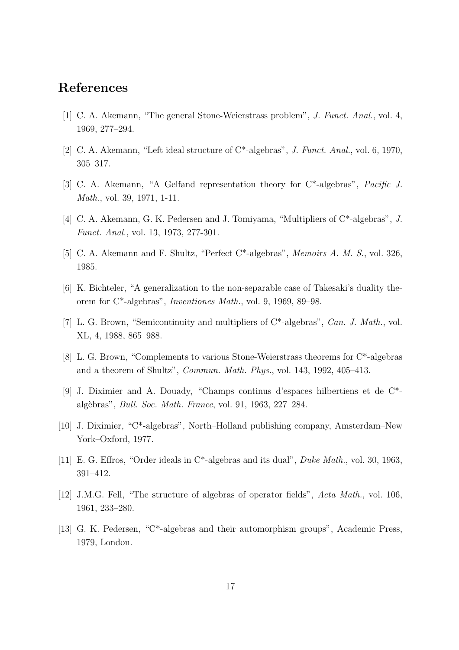## References

- [1] C. A. Akemann, "The general Stone-Weierstrass problem", J. Funct. Anal., vol. 4, 1969, 277–294.
- [2] C. A. Akemann, "Left ideal structure of C\*-algebras", J. Funct. Anal., vol. 6, 1970, 305–317.
- [3] C. A. Akemann, "A Gelfand representation theory for C\*-algebras", Pacific J. Math., vol. 39, 1971, 1-11.
- [4] C. A. Akemann, G. K. Pedersen and J. Tomiyama, "Multipliers of C\*-algebras", J. Funct. Anal., vol. 13, 1973, 277-301.
- [5] C. A. Akemann and F. Shultz, "Perfect C\*-algebras", Memoirs A. M. S., vol. 326, 1985.
- [6] K. Bichteler, "A generalization to the non-separable case of Takesaki's duality theorem for C\*-algebras", Inventiones Math., vol. 9, 1969, 89–98.
- [7] L. G. Brown, "Semicontinuity and multipliers of C\*-algebras", Can. J. Math., vol. XL, 4, 1988, 865–988.
- [8] L. G. Brown, "Complements to various Stone-Weierstrass theorems for C\*-algebras and a theorem of Shultz", Commun. Math. Phys., vol. 143, 1992, 405–413.
- [9] J. Diximier and A. Douady, "Champs continus d'espaces hilbertiens et de C\* alg`ebras", Bull. Soc. Math. France, vol. 91, 1963, 227–284.
- [10] J. Diximier, "C\*-algebras", North–Holland publishing company, Amsterdam–New York–Oxford, 1977.
- [11] E. G. Effros, "Order ideals in C\*-algebras and its dual", Duke Math., vol. 30, 1963, 391–412.
- [12] J.M.G. Fell, "The structure of algebras of operator fields", Acta Math., vol. 106, 1961, 233–280.
- [13] G. K. Pedersen, "C\*-algebras and their automorphism groups", Academic Press, 1979, London.